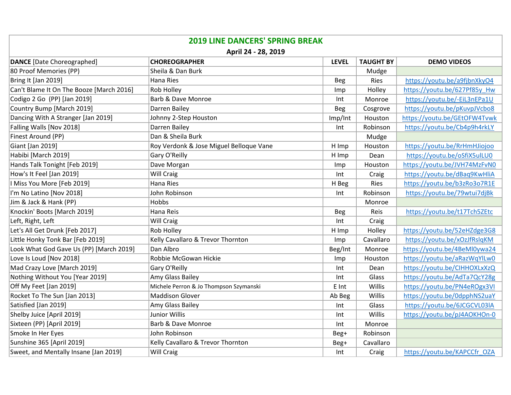| <b>2019 LINE DANCERS' SPRING BREAK</b><br>April 24 - 28, 2019 |                                         |            |           |                              |  |  |
|---------------------------------------------------------------|-----------------------------------------|------------|-----------|------------------------------|--|--|
|                                                               |                                         |            |           |                              |  |  |
| 80 Proof Memories (PP)                                        | Sheila & Dan Burk                       |            | Mudge     |                              |  |  |
| Bring It [Jan 2019]                                           | Hana Ries                               | <b>Beg</b> | Ries      | https://youtu.be/a9fjbnXkyO4 |  |  |
| Can't Blame It On The Booze [March 2016]                      | <b>Rob Holley</b>                       | Imp        | Holley    | https://youtu.be/627Pf85y Hw |  |  |
| Codigo 2 Go (PP) [Jan 2019]                                   | <b>Barb &amp; Dave Monroe</b>           | Int        | Monroe    | https://youtu.be/-EiL3nEPa1U |  |  |
| Country Bump [March 2019]                                     | Darren Bailey                           | Beg        | Cosgrove  | https://youtu.be/pKuvpJVcbo8 |  |  |
| Dancing With A Stranger [Jan 2019]                            | Johnny 2-Step Houston                   | Imp/Int    | Houston   | https://youtu.be/GEtOFW4Tvwk |  |  |
| Falling Walls [Nov 2018]                                      | Darren Bailey                           | Int        | Robinson  | https://youtu.be/Cb4p9h4rkLY |  |  |
| Finest Around (PP)                                            | Dan & Sheila Burk                       |            | Mudge     |                              |  |  |
| Giant [Jan 2019]                                              | Roy Verdonk & Jose Miguel Belloque Vane | H Imp      | Houston   | https://youtu.be/RrHmHJiojoo |  |  |
| Habibi [March 2019]                                           | Gary O'Reilly                           | H Imp      | Dean      | https://youtu.be/oSfiX5ulLU0 |  |  |
| Hands Talk Tonight [Feb 2019]                                 | Dave Morgan                             | Imp        | Houston   | https://youtu.be/JVH74MzFvN0 |  |  |
| How's It Feel [Jan 2019]                                      | Will Craig                              | Int        | Craig     | https://youtu.be/dBaq9KwHliA |  |  |
| I Miss You More [Feb 2019]                                    | Hana Ries                               | H Beg      | Ries      | https://youtu.be/b3zRo3o7R1E |  |  |
| I'm No Latino [Nov 2018]                                      | John Robinson                           | Int        | Robinson  | https://youtu.be/79wtui7djBk |  |  |
| Jim & Jack & Hank (PP)                                        | Hobbs                                   |            | Monroe    |                              |  |  |
| Knockin' Boots [March 2019]                                   | Hana Reis                               | <b>Beg</b> | Reis      | https://youtu.be/t17Tch5ZEtc |  |  |
| Left, Right, Left                                             | Will Craig                              | Int        | Craig     |                              |  |  |
| Let's All Get Drunk [Feb 2017]                                | <b>Rob Holley</b>                       | H Imp      | Holley    | https://youtu.be/52eHZdge3G8 |  |  |
| Little Honky Tonk Bar [Feb 2019]                              | Kelly Cavallaro & Trevor Thornton       | Imp        | Cavallaro | https://youtu.be/xOzJfRslqKM |  |  |
| Look What God Gave Us (PP) [March 2019]                       | Dan Albro                               | Beg/Int    | Monroe    | https://youtu.be/4BeMl0ywa24 |  |  |
| Love Is Loud [Nov 2018]                                       | Robbie McGowan Hickie                   | Imp        | Houston   | https://youtu.be/aRazWqYlLw0 |  |  |
| Mad Crazy Love [March 2019]                                   | Gary O'Reilly                           | Int        | Dean      | https://youtu.be/CIHHOXLxXzQ |  |  |
| Nothing Without You [Year 2019]                               | Amy Glass Bailey                        | Int        | Glass     | https://youtu.be/AdTa7QcY28g |  |  |
| Off My Feet [Jan 2019]                                        | Michele Perron & Jo Thompson Szymanski  | E Int      | Willis    | https://youtu.be/PN4eROgx3VI |  |  |
| Rocket To The Sun [Jan 2013]                                  | Maddison Glover                         | Ab Beg     | Willis    | https://youtu.be/0dpphNS2uaY |  |  |
| Satisfied [Jan 2019]                                          | Amy Glass Bailey                        | Int        | Glass     | https://youtu.be/6JCGCVL03IA |  |  |
| Shelby Juice [April 2019]                                     | Junior Willis                           | Int        | Willis    | https://youtu.be/pJ4AOKHOn-0 |  |  |
| Sixteen (PP) [April 2019]                                     | Barb & Dave Monroe                      | Int        | Monroe    |                              |  |  |
| Smoke In Her Eyes                                             | John Robinson                           | Beg+       | Robinson  |                              |  |  |
| Sunshine 365 [April 2019]                                     | Kelly Cavallaro & Trevor Thornton       | Beg+       | Cavallaro |                              |  |  |
| Sweet, and Mentally Insane [Jan 2019]                         | <b>Will Craig</b>                       | Int        | Craig     | https://youtu.be/KAPCCfr OZA |  |  |